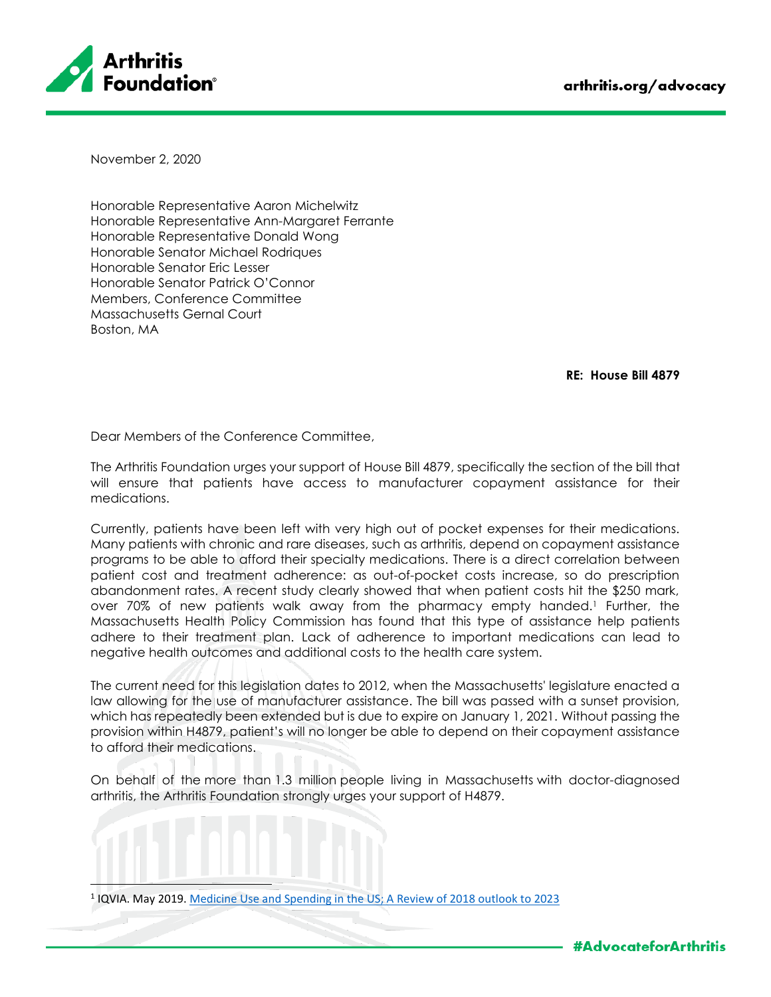

November 2, 2020

Honorable Representative Aaron Michelwitz Honorable Representative Ann-Margaret Ferrante Honorable Representative Donald Wong Honorable Senator Michael Rodriques Honorable Senator Eric Lesser Honorable Senator Patrick O'Connor Members, Conference Committee Massachusetts Gernal Court Boston, MA

**RE: House Bill 4879**

Dear Members of the Conference Committee,

The Arthritis Foundation urges your support of House Bill 4879, specifically the section of the bill that will ensure that patients have access to manufacturer copayment assistance for their medications.

Currently, patients have been left with very high out of pocket expenses for their medications. Many patients with chronic and rare diseases, such as arthritis, depend on copayment assistance programs to be able to afford their specialty medications. There is a direct correlation between patient cost and treatment adherence: as out-of-pocket costs increase, so do prescription abandonment rates. A recent study clearly showed that when patient costs hit the \$250 mark, over 70% of new patients walk away from the pharmacy empty handed.<sup>1</sup> Further, the Massachusetts Health Policy Commission has found that this type of assistance help patients adhere to their treatment plan. Lack of adherence to important medications can lead to negative health outcomes and additional costs to the health care system.

The current need for this legislation dates to 2012, when the Massachusetts' legislature enacted a law allowing for the use of manufacturer assistance. The bill was passed with a sunset provision, which has repeatedly been extended but is due to expire on January 1, 2021. Without passing the provision within H4879, patient's will no longer be able to depend on their copayment assistance to afford their medications.

On behalf of the more than 1.3 million people living in Massachusetts with doctor-diagnosed arthritis, the Arthritis Foundation strongly urges your support of H4879.

<sup>&</sup>lt;sup>1</sup> IQVIA. May 2019. Medicine Use and Spending in the US; A Review of 2018 outlook to 2023